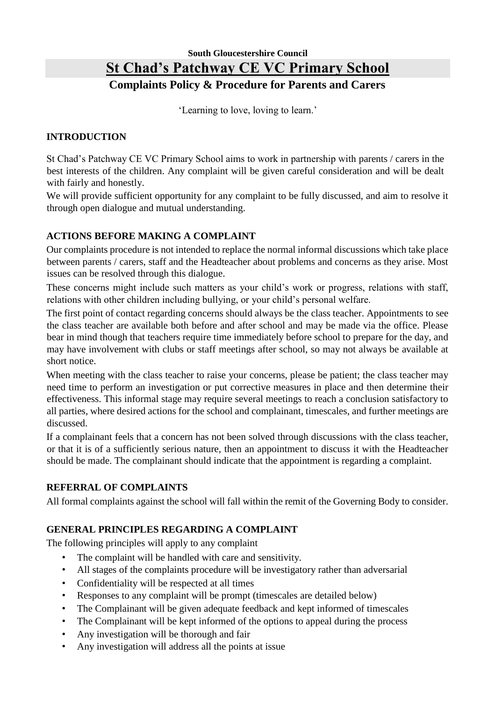# **South Gloucestershire Council St Chad's Patchway CE VC Primary School Complaints Policy & Procedure for Parents and Carers**

'Learning to love, loving to learn.'

#### **INTRODUCTION**

St Chad's Patchway CE VC Primary School aims to work in partnership with parents / carers in the best interests of the children. Any complaint will be given careful consideration and will be dealt with fairly and honestly.

We will provide sufficient opportunity for any complaint to be fully discussed, and aim to resolve it through open dialogue and mutual understanding.

#### **ACTIONS BEFORE MAKING A COMPLAINT**

Our complaints procedure is not intended to replace the normal informal discussions which take place between parents / carers, staff and the Headteacher about problems and concerns as they arise. Most issues can be resolved through this dialogue.

These concerns might include such matters as your child's work or progress, relations with staff, relations with other children including bullying, or your child's personal welfare.

The first point of contact regarding concerns should always be the class teacher. Appointments to see the class teacher are available both before and after school and may be made via the office. Please bear in mind though that teachers require time immediately before school to prepare for the day, and may have involvement with clubs or staff meetings after school, so may not always be available at short notice.

When meeting with the class teacher to raise your concerns, please be patient; the class teacher may need time to perform an investigation or put corrective measures in place and then determine their effectiveness. This informal stage may require several meetings to reach a conclusion satisfactory to all parties, where desired actions for the school and complainant, timescales, and further meetings are discussed.

If a complainant feels that a concern has not been solved through discussions with the class teacher, or that it is of a sufficiently serious nature, then an appointment to discuss it with the Headteacher should be made. The complainant should indicate that the appointment is regarding a complaint.

#### **REFERRAL OF COMPLAINTS**

All formal complaints against the school will fall within the remit of the Governing Body to consider.

## **GENERAL PRINCIPLES REGARDING A COMPLAINT**

The following principles will apply to any complaint

- The complaint will be handled with care and sensitivity.
- All stages of the complaints procedure will be investigatory rather than adversarial
- Confidentiality will be respected at all times
- Responses to any complaint will be prompt (timescales are detailed below)
- The Complainant will be given adequate feedback and kept informed of timescales
- The Complainant will be kept informed of the options to appeal during the process
- Any investigation will be thorough and fair
- Any investigation will address all the points at issue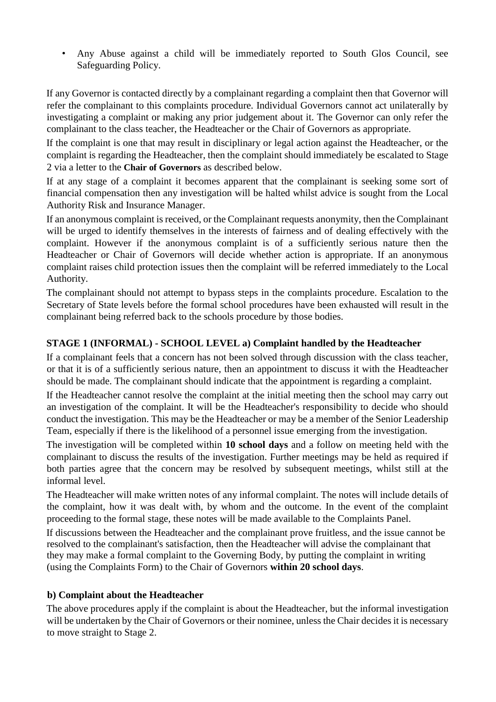• Any Abuse against a child will be immediately reported to South Glos Council, see Safeguarding Policy.

If any Governor is contacted directly by a complainant regarding a complaint then that Governor will refer the complainant to this complaints procedure. Individual Governors cannot act unilaterally by investigating a complaint or making any prior judgement about it. The Governor can only refer the complainant to the class teacher, the Headteacher or the Chair of Governors as appropriate.

If the complaint is one that may result in disciplinary or legal action against the Headteacher, or the complaint is regarding the Headteacher, then the complaint should immediately be escalated to Stage 2 via a letter to the **Chair of Governors** as described below.

If at any stage of a complaint it becomes apparent that the complainant is seeking some sort of financial compensation then any investigation will be halted whilst advice is sought from the Local Authority Risk and Insurance Manager.

If an anonymous complaint is received, or the Complainant requests anonymity, then the Complainant will be urged to identify themselves in the interests of fairness and of dealing effectively with the complaint. However if the anonymous complaint is of a sufficiently serious nature then the Headteacher or Chair of Governors will decide whether action is appropriate. If an anonymous complaint raises child protection issues then the complaint will be referred immediately to the Local Authority.

The complainant should not attempt to bypass steps in the complaints procedure. Escalation to the Secretary of State levels before the formal school procedures have been exhausted will result in the complainant being referred back to the schools procedure by those bodies.

## **STAGE 1 (INFORMAL) - SCHOOL LEVEL a) Complaint handled by the Headteacher**

If a complainant feels that a concern has not been solved through discussion with the class teacher, or that it is of a sufficiently serious nature, then an appointment to discuss it with the Headteacher should be made. The complainant should indicate that the appointment is regarding a complaint.

If the Headteacher cannot resolve the complaint at the initial meeting then the school may carry out an investigation of the complaint. It will be the Headteacher's responsibility to decide who should conduct the investigation. This may be the Headteacher or may be a member of the Senior Leadership Team, especially if there is the likelihood of a personnel issue emerging from the investigation.

The investigation will be completed within **10 school days** and a follow on meeting held with the complainant to discuss the results of the investigation. Further meetings may be held as required if both parties agree that the concern may be resolved by subsequent meetings, whilst still at the informal level.

The Headteacher will make written notes of any informal complaint. The notes will include details of the complaint, how it was dealt with, by whom and the outcome. In the event of the complaint proceeding to the formal stage, these notes will be made available to the Complaints Panel.

If discussions between the Headteacher and the complainant prove fruitless, and the issue cannot be resolved to the complainant's satisfaction, then the Headteacher will advise the complainant that they may make a formal complaint to the Governing Body, by putting the complaint in writing (using the Complaints Form) to the Chair of Governors **within 20 school days**.

#### **b) Complaint about the Headteacher**

The above procedures apply if the complaint is about the Headteacher, but the informal investigation will be undertaken by the Chair of Governors or their nominee, unless the Chair decides it is necessary to move straight to Stage 2.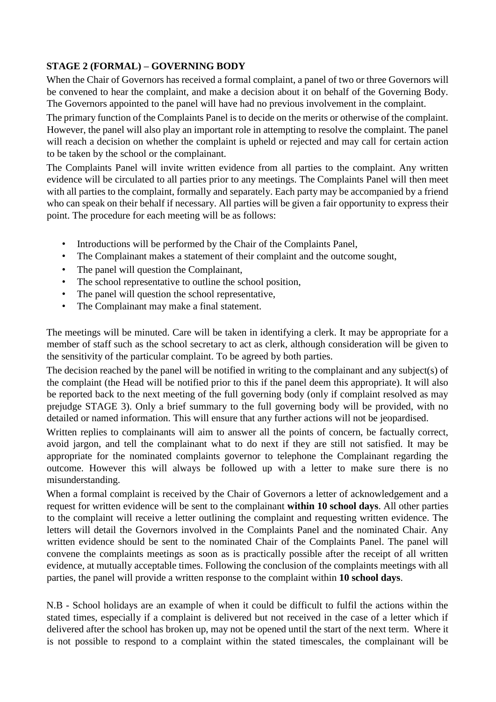## **STAGE 2 (FORMAL) – GOVERNING BODY**

When the Chair of Governors has received a formal complaint, a panel of two or three Governors will be convened to hear the complaint, and make a decision about it on behalf of the Governing Body. The Governors appointed to the panel will have had no previous involvement in the complaint.

The primary function of the Complaints Panel is to decide on the merits or otherwise of the complaint. However, the panel will also play an important role in attempting to resolve the complaint. The panel will reach a decision on whether the complaint is upheld or rejected and may call for certain action to be taken by the school or the complainant.

The Complaints Panel will invite written evidence from all parties to the complaint. Any written evidence will be circulated to all parties prior to any meetings. The Complaints Panel will then meet with all parties to the complaint, formally and separately. Each party may be accompanied by a friend who can speak on their behalf if necessary. All parties will be given a fair opportunity to express their point. The procedure for each meeting will be as follows:

- Introductions will be performed by the Chair of the Complaints Panel,
- The Complainant makes a statement of their complaint and the outcome sought,
- The panel will question the Complainant,
- The school representative to outline the school position,
- The panel will question the school representative,
- The Complainant may make a final statement.

The meetings will be minuted. Care will be taken in identifying a clerk. It may be appropriate for a member of staff such as the school secretary to act as clerk, although consideration will be given to the sensitivity of the particular complaint. To be agreed by both parties.

The decision reached by the panel will be notified in writing to the complainant and any subject(s) of the complaint (the Head will be notified prior to this if the panel deem this appropriate). It will also be reported back to the next meeting of the full governing body (only if complaint resolved as may prejudge STAGE 3). Only a brief summary to the full governing body will be provided, with no detailed or named information. This will ensure that any further actions will not be jeopardised.

Written replies to complainants will aim to answer all the points of concern, be factually correct, avoid jargon, and tell the complainant what to do next if they are still not satisfied. It may be appropriate for the nominated complaints governor to telephone the Complainant regarding the outcome. However this will always be followed up with a letter to make sure there is no misunderstanding.

When a formal complaint is received by the Chair of Governors a letter of acknowledgement and a request for written evidence will be sent to the complainant **within 10 school days**. All other parties to the complaint will receive a letter outlining the complaint and requesting written evidence. The letters will detail the Governors involved in the Complaints Panel and the nominated Chair. Any written evidence should be sent to the nominated Chair of the Complaints Panel. The panel will convene the complaints meetings as soon as is practically possible after the receipt of all written evidence, at mutually acceptable times. Following the conclusion of the complaints meetings with all parties, the panel will provide a written response to the complaint within **10 school days**.

N.B - School holidays are an example of when it could be difficult to fulfil the actions within the stated times, especially if a complaint is delivered but not received in the case of a letter which if delivered after the school has broken up, may not be opened until the start of the next term. Where it is not possible to respond to a complaint within the stated timescales, the complainant will be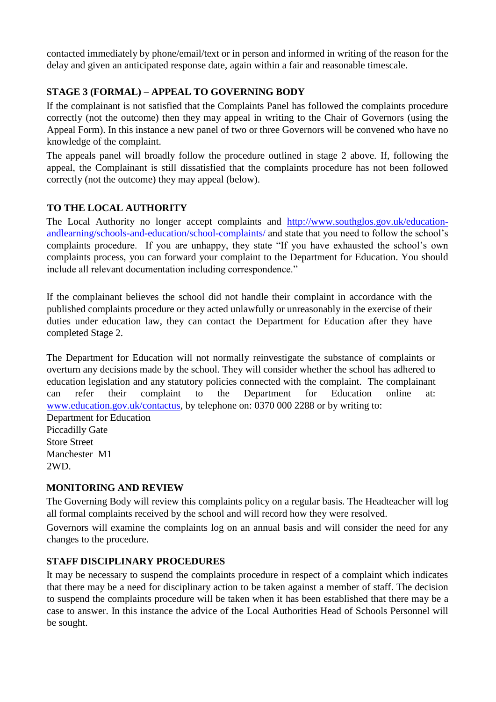contacted immediately by phone/email/text or in person and informed in writing of the reason for the delay and given an anticipated response date, again within a fair and reasonable timescale.

## **STAGE 3 (FORMAL) – APPEAL TO GOVERNING BODY**

If the complainant is not satisfied that the Complaints Panel has followed the complaints procedure correctly (not the outcome) then they may appeal in writing to the Chair of Governors (using the Appeal Form). In this instance a new panel of two or three Governors will be convened who have no knowledge of the complaint.

The appeals panel will broadly follow the procedure outlined in stage 2 above. If, following the appeal, the Complainant is still dissatisfied that the complaints procedure has not been followed correctly (not the outcome) they may appeal (below).

## **TO THE LOCAL AUTHORITY**

The Local Authority no longer accept complaints and [http://www.southglos.gov.uk/education](http://www.southglos.gov.uk/education-and-learning/schools-and-education/school-complaints/)[andlearning/schools-and-education/school-complaints/](http://www.southglos.gov.uk/education-and-learning/schools-and-education/school-complaints/) [a](http://www.southglos.gov.uk/education-and-learning/schools-and-education/school-complaints/)nd state that you need to follow the school's complaints procedure. If you are unhappy, they state "If you have exhausted the school's own complaints process, you can forward your complaint to the Department for Education. You should include all relevant documentation including correspondence."

If the complainant believes the school did not handle their complaint in accordance with the published complaints procedure or they acted unlawfully or unreasonably in the exercise of their duties under education law, they can contact the Department for Education after they have completed Stage 2.

The Department for Education will not normally reinvestigate the substance of complaints or overturn any decisions made by the school. They will consider whether the school has adhered to education legislation and any statutory policies connected with the complaint. The complainant can refer their complaint to the Department for Education online at: [www.education.gov.uk/contactus, b](http://www.education.gov.uk/contactus)y telephone on: 0370 000 2288 or by writing to:

Department for Education Piccadilly Gate Store Street Manchester M1 2WD.

## **MONITORING AND REVIEW**

The Governing Body will review this complaints policy on a regular basis. The Headteacher will log all formal complaints received by the school and will record how they were resolved.

Governors will examine the complaints log on an annual basis and will consider the need for any changes to the procedure.

## **STAFF DISCIPLINARY PROCEDURES**

It may be necessary to suspend the complaints procedure in respect of a complaint which indicates that there may be a need for disciplinary action to be taken against a member of staff. The decision to suspend the complaints procedure will be taken when it has been established that there may be a case to answer. In this instance the advice of the Local Authorities Head of Schools Personnel will be sought.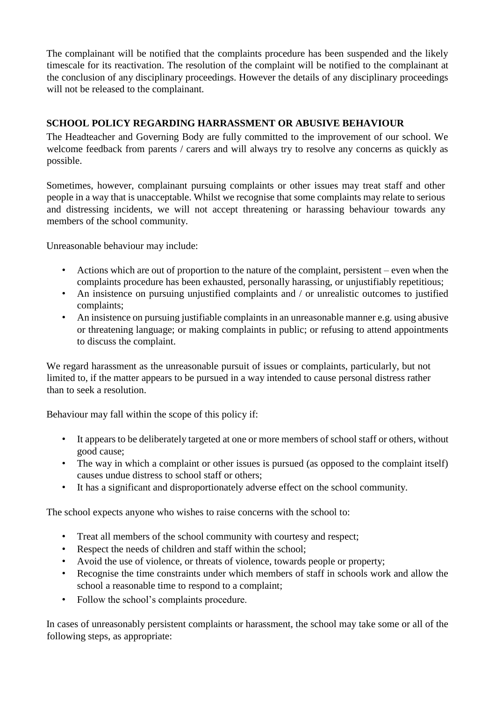The complainant will be notified that the complaints procedure has been suspended and the likely timescale for its reactivation. The resolution of the complaint will be notified to the complainant at the conclusion of any disciplinary proceedings. However the details of any disciplinary proceedings will not be released to the complainant.

## **SCHOOL POLICY REGARDING HARRASSMENT OR ABUSIVE BEHAVIOUR**

The Headteacher and Governing Body are fully committed to the improvement of our school. We welcome feedback from parents / carers and will always try to resolve any concerns as quickly as possible.

Sometimes, however, complainant pursuing complaints or other issues may treat staff and other people in a way that is unacceptable. Whilst we recognise that some complaints may relate to serious and distressing incidents, we will not accept threatening or harassing behaviour towards any members of the school community.

Unreasonable behaviour may include:

- Actions which are out of proportion to the nature of the complaint, persistent even when the complaints procedure has been exhausted, personally harassing, or unjustifiably repetitious;
- An insistence on pursuing unjustified complaints and / or unrealistic outcomes to justified complaints;
- An insistence on pursuing justifiable complaints in an unreasonable manner e.g. using abusive or threatening language; or making complaints in public; or refusing to attend appointments to discuss the complaint.

We regard harassment as the unreasonable pursuit of issues or complaints, particularly, but not limited to, if the matter appears to be pursued in a way intended to cause personal distress rather than to seek a resolution.

Behaviour may fall within the scope of this policy if:

- It appears to be deliberately targeted at one or more members of school staff or others, without good cause;
- The way in which a complaint or other issues is pursued (as opposed to the complaint itself) causes undue distress to school staff or others;
- It has a significant and disproportionately adverse effect on the school community.

The school expects anyone who wishes to raise concerns with the school to:

- Treat all members of the school community with courtesy and respect;
- Respect the needs of children and staff within the school;
- Avoid the use of violence, or threats of violence, towards people or property;
- Recognise the time constraints under which members of staff in schools work and allow the school a reasonable time to respond to a complaint;
- Follow the school's complaints procedure.

In cases of unreasonably persistent complaints or harassment, the school may take some or all of the following steps, as appropriate: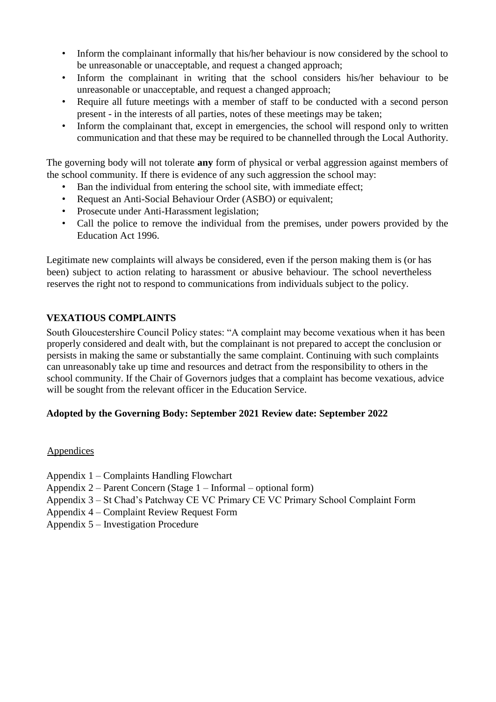- Inform the complainant informally that his/her behaviour is now considered by the school to be unreasonable or unacceptable, and request a changed approach;
- Inform the complainant in writing that the school considers his/her behaviour to be unreasonable or unacceptable, and request a changed approach;
- Require all future meetings with a member of staff to be conducted with a second person present - in the interests of all parties, notes of these meetings may be taken;
- Inform the complainant that, except in emergencies, the school will respond only to written communication and that these may be required to be channelled through the Local Authority.

The governing body will not tolerate **any** form of physical or verbal aggression against members of the school community. If there is evidence of any such aggression the school may:

- Ban the individual from entering the school site, with immediate effect;
- Request an Anti-Social Behaviour Order (ASBO) or equivalent;
- Prosecute under Anti-Harassment legislation;
- Call the police to remove the individual from the premises, under powers provided by the Education Act 1996.

Legitimate new complaints will always be considered, even if the person making them is (or has been) subject to action relating to harassment or abusive behaviour. The school nevertheless reserves the right not to respond to communications from individuals subject to the policy.

## **VEXATIOUS COMPLAINTS**

South Gloucestershire Council Policy states: "A complaint may become vexatious when it has been properly considered and dealt with, but the complainant is not prepared to accept the conclusion or persists in making the same or substantially the same complaint. Continuing with such complaints can unreasonably take up time and resources and detract from the responsibility to others in the school community. If the Chair of Governors judges that a complaint has become vexatious, advice will be sought from the relevant officer in the Education Service.

## **Adopted by the Governing Body: September 2021 Review date: September 2022**

#### Appendices

- Appendix 1 Complaints Handling Flowchart
- Appendix 2 Parent Concern (Stage 1 Informal optional form)
- Appendix 3 St Chad's Patchway CE VC Primary CE VC Primary School Complaint Form
- Appendix 4 Complaint Review Request Form
- Appendix 5 Investigation Procedure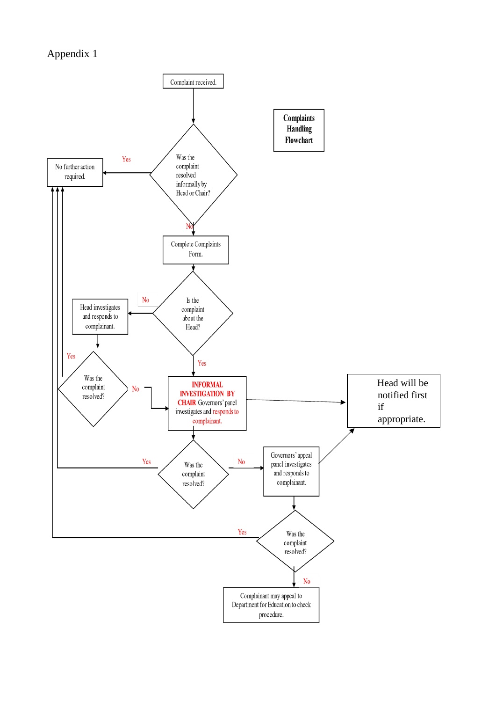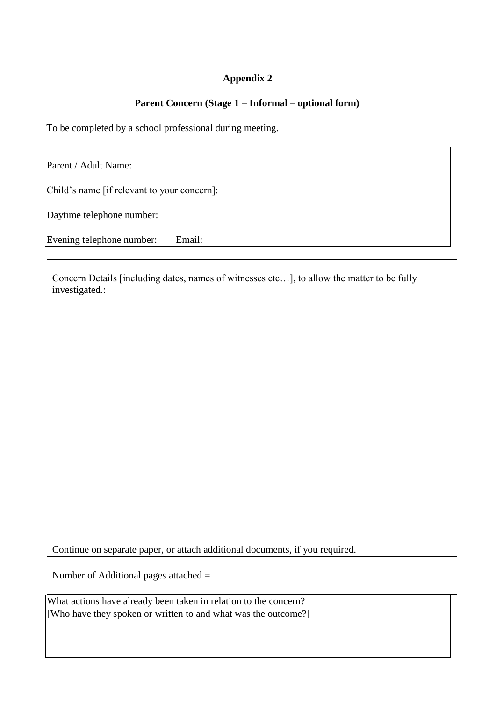## **Parent Concern (Stage 1 – Informal – optional form)**

To be completed by a school professional during meeting.

Parent / Adult Name:

Child's name [if relevant to your concern]:

Daytime telephone number:

Evening telephone number: Email:

Concern Details [including dates, names of witnesses etc…], to allow the matter to be fully investigated.:

Continue on separate paper, or attach additional documents, if you required.

Number of Additional pages attached =

What actions have already been taken in relation to the concern? [Who have they spoken or written to and what was the outcome?]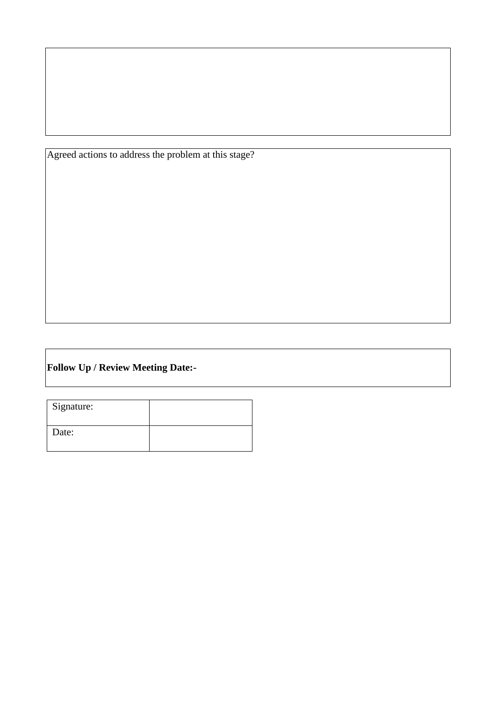Agreed actions to address the problem at this stage?

## **Follow Up / Review Meeting Date:-**

| Signature: |  |
|------------|--|
| Date:      |  |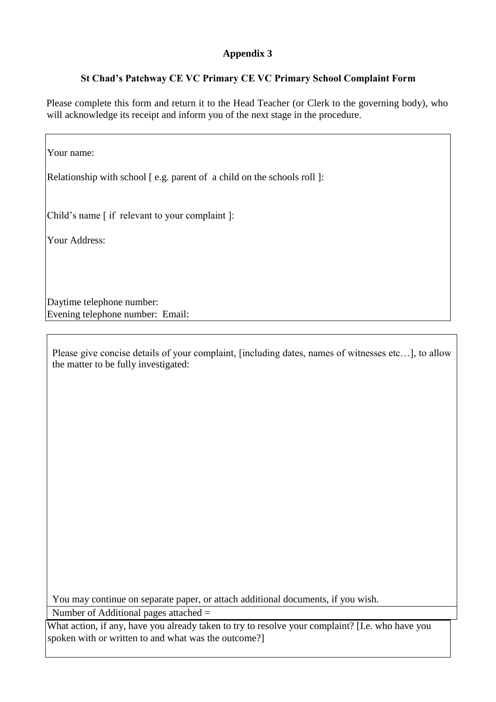## **St Chad's Patchway CE VC Primary CE VC Primary School Complaint Form**

Please complete this form and return it to the Head Teacher (or Clerk to the governing body), who will acknowledge its receipt and inform you of the next stage in the procedure.

Your name: Relationship with school [e.g. parent of a child on the schools roll]: Child's name [ if relevant to your complaint ]: Your Address: Daytime telephone number: Evening telephone number: Email:

Please give concise details of your complaint, [including dates, names of witnesses etc…], to allow the matter to be fully investigated:

You may continue on separate paper, or attach additional documents, if you wish. Number of Additional pages attached =

What action, if any, have you already taken to try to resolve your complaint? [I.e. who have you spoken with or written to and what was the outcome?]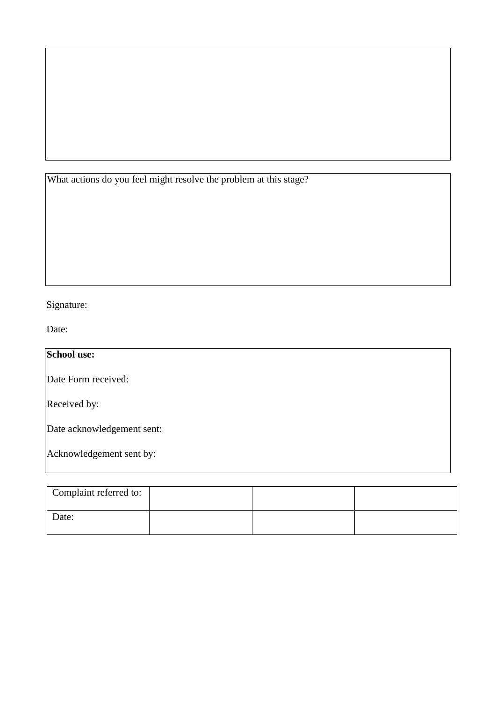What actions do you feel might resolve the problem at this stage?

# Signature:

Date:

| School use:                |
|----------------------------|
| Date Form received:        |
| Received by:               |
| Date acknowledgement sent: |
| Acknowledgement sent by:   |

| Complaint referred to: |  |  |
|------------------------|--|--|
| Date:                  |  |  |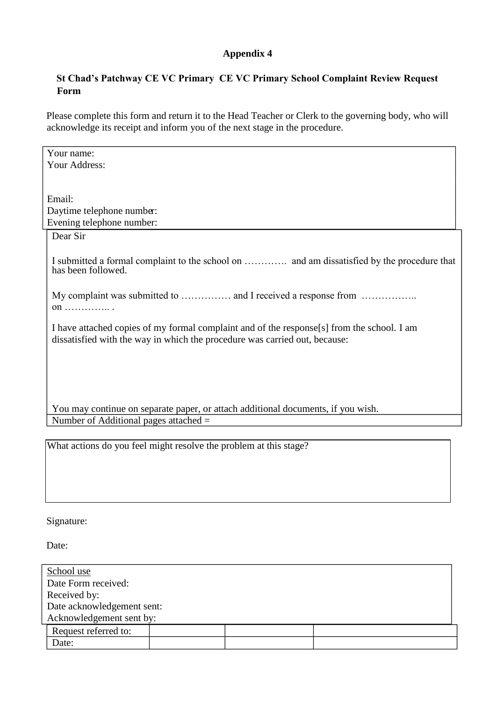## **St Chad's Patchway CE VC Primary CE VC Primary School Complaint Review Request Form**

Please complete this form and return it to the Head Teacher or Clerk to the governing body, who will acknowledge its receipt and inform you of the next stage in the procedure.

| Your name:                                                                                 |  |  |  |  |
|--------------------------------------------------------------------------------------------|--|--|--|--|
| Your Address:                                                                              |  |  |  |  |
|                                                                                            |  |  |  |  |
| Email:                                                                                     |  |  |  |  |
|                                                                                            |  |  |  |  |
| Daytime telephone number:                                                                  |  |  |  |  |
| Evening telephone number:                                                                  |  |  |  |  |
| Dear Sir                                                                                   |  |  |  |  |
|                                                                                            |  |  |  |  |
| I submitted a formal complaint to the school on  and am dissatisfied by the procedure that |  |  |  |  |
| has been followed.                                                                         |  |  |  |  |
|                                                                                            |  |  |  |  |
| My complaint was submitted to  and I received a response from                              |  |  |  |  |
| on  .                                                                                      |  |  |  |  |
|                                                                                            |  |  |  |  |
| I have attached copies of my formal complaint and of the response[s] from the school. I am |  |  |  |  |
| dissatisfied with the way in which the procedure was carried out, because:                 |  |  |  |  |
|                                                                                            |  |  |  |  |
|                                                                                            |  |  |  |  |
|                                                                                            |  |  |  |  |
|                                                                                            |  |  |  |  |
| You may continue on separate paper, or attach additional documents, if you wish.           |  |  |  |  |
| Number of Additional pages attached $=$                                                    |  |  |  |  |
|                                                                                            |  |  |  |  |
|                                                                                            |  |  |  |  |
| What actions do you feel might resolve the problem at this stage?                          |  |  |  |  |
|                                                                                            |  |  |  |  |

## Signature:

Date:

| School use                 |  |  |  |  |  |
|----------------------------|--|--|--|--|--|
| Date Form received:        |  |  |  |  |  |
| Received by:               |  |  |  |  |  |
| Date acknowledgement sent: |  |  |  |  |  |
| Acknowledgement sent by:   |  |  |  |  |  |
| Request referred to:       |  |  |  |  |  |
| Date:                      |  |  |  |  |  |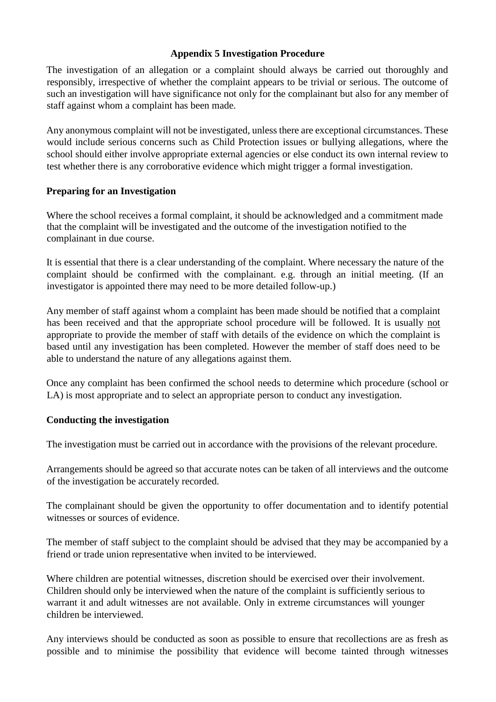#### **Appendix 5 Investigation Procedure**

The investigation of an allegation or a complaint should always be carried out thoroughly and responsibly, irrespective of whether the complaint appears to be trivial or serious. The outcome of such an investigation will have significance not only for the complainant but also for any member of staff against whom a complaint has been made.

Any anonymous complaint will not be investigated, unless there are exceptional circumstances. These would include serious concerns such as Child Protection issues or bullying allegations, where the school should either involve appropriate external agencies or else conduct its own internal review to test whether there is any corroborative evidence which might trigger a formal investigation.

#### **Preparing for an Investigation**

Where the school receives a formal complaint, it should be acknowledged and a commitment made that the complaint will be investigated and the outcome of the investigation notified to the complainant in due course.

It is essential that there is a clear understanding of the complaint. Where necessary the nature of the complaint should be confirmed with the complainant. e.g. through an initial meeting. (If an investigator is appointed there may need to be more detailed follow-up.)

Any member of staff against whom a complaint has been made should be notified that a complaint has been received and that the appropriate school procedure will be followed. It is usually not appropriate to provide the member of staff with details of the evidence on which the complaint is based until any investigation has been completed. However the member of staff does need to be able to understand the nature of any allegations against them.

Once any complaint has been confirmed the school needs to determine which procedure (school or LA) is most appropriate and to select an appropriate person to conduct any investigation.

#### **Conducting the investigation**

The investigation must be carried out in accordance with the provisions of the relevant procedure.

Arrangements should be agreed so that accurate notes can be taken of all interviews and the outcome of the investigation be accurately recorded.

The complainant should be given the opportunity to offer documentation and to identify potential witnesses or sources of evidence.

The member of staff subject to the complaint should be advised that they may be accompanied by a friend or trade union representative when invited to be interviewed.

Where children are potential witnesses, discretion should be exercised over their involvement. Children should only be interviewed when the nature of the complaint is sufficiently serious to warrant it and adult witnesses are not available. Only in extreme circumstances will younger children be interviewed.

Any interviews should be conducted as soon as possible to ensure that recollections are as fresh as possible and to minimise the possibility that evidence will become tainted through witnesses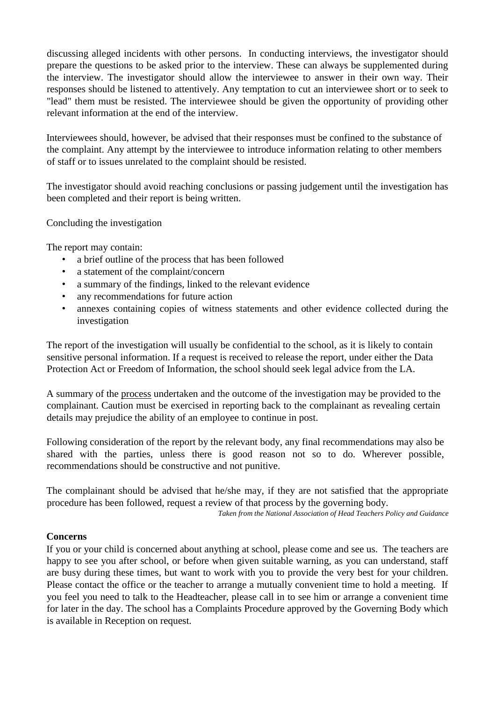discussing alleged incidents with other persons. In conducting interviews, the investigator should prepare the questions to be asked prior to the interview. These can always be supplemented during the interview. The investigator should allow the interviewee to answer in their own way. Their responses should be listened to attentively. Any temptation to cut an interviewee short or to seek to "lead" them must be resisted. The interviewee should be given the opportunity of providing other relevant information at the end of the interview.

Interviewees should, however, be advised that their responses must be confined to the substance of the complaint. Any attempt by the interviewee to introduce information relating to other members of staff or to issues unrelated to the complaint should be resisted.

The investigator should avoid reaching conclusions or passing judgement until the investigation has been completed and their report is being written.

Concluding the investigation

The report may contain:

- a brief outline of the process that has been followed
- a statement of the complaint/concern
- a summary of the findings, linked to the relevant evidence
- any recommendations for future action
- annexes containing copies of witness statements and other evidence collected during the investigation

The report of the investigation will usually be confidential to the school, as it is likely to contain sensitive personal information. If a request is received to release the report, under either the Data Protection Act or Freedom of Information, the school should seek legal advice from the LA.

A summary of the process undertaken and the outcome of the investigation may be provided to the complainant. Caution must be exercised in reporting back to the complainant as revealing certain details may prejudice the ability of an employee to continue in post.

Following consideration of the report by the relevant body, any final recommendations may also be shared with the parties, unless there is good reason not so to do. Wherever possible, recommendations should be constructive and not punitive.

The complainant should be advised that he/she may, if they are not satisfied that the appropriate procedure has been followed, request a review of that process by the governing body.

*Taken from the National Association of Head Teachers Policy and Guidance* 

#### **Concerns**

If you or your child is concerned about anything at school, please come and see us. The teachers are happy to see you after school, or before when given suitable warning, as you can understand, staff are busy during these times, but want to work with you to provide the very best for your children. Please contact the office or the teacher to arrange a mutually convenient time to hold a meeting. If you feel you need to talk to the Headteacher, please call in to see him or arrange a convenient time for later in the day. The school has a Complaints Procedure approved by the Governing Body which is available in Reception on request.